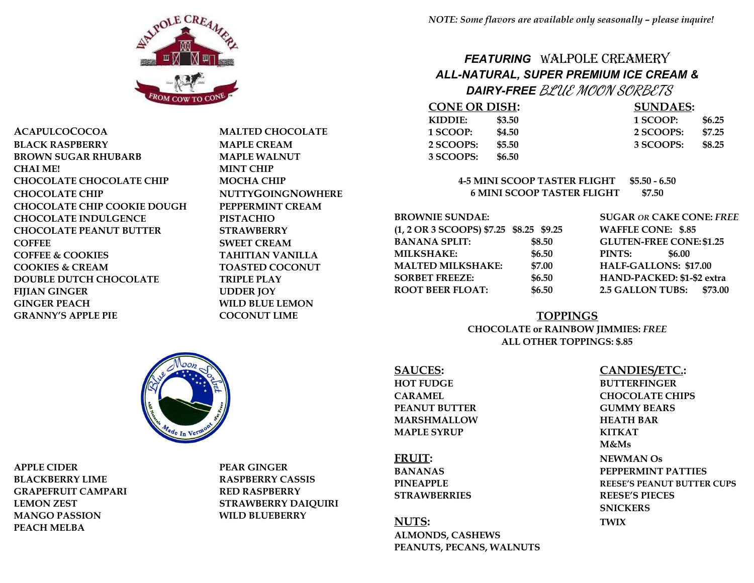

**ACAPULCOCOCOA MALTED CHOCOLATE BLACK RASPBERRY MAPLE CREAM BROWN SUGAR RHUBARB MAPLE WALNUT CHAI ME! MINT CHIP CHOCOLATE CHOCOLATE CHIP MOCHA CHIP CHOCOLATE CHIP NUTTYGOINGNOWHERE CHOCOLATE CHIP COOKIE DOUGH PEPPERMINT CREAM CHOCOLATE INDULGENCE PISTACHIO CHOCOLATE PEANUT BUTTER STRAWBERRY COFFEE SWEET CREAM COFFEE & COOKIES TAHITIAN VANILLA COOKIES & CREAM TOASTED COCONUT DOUBLE DUTCH CHOCOLATE TRIPLE PLAY FIJIAN GINGER UDDER JOY GINGER PEACH WILD BLUE LEMON GRANNY'S APPLE PIE COCONUT LIME**

# *FEATURING* WALPOLE CREAMERY *ALL-NATURAL, SUPER PREMIUM ICE CREAM &*

 *DAIRY-FREE* **BLUE MOON SORBETS**

| <b>CONE OR DISH:</b> |        | <b>SUNDAES:</b> |        |
|----------------------|--------|-----------------|--------|
| KIDDIF:              | \$3.50 | 1 SCOOP:        | \$6.25 |
| 1 SCOOP:             | \$4.50 | 2 SCOOPS:       | \$7.25 |
| 2 SCOOPS:            | \$5.50 | 3 SCOOPS:       | \$8.25 |
| 3 SCOOPS:            | \$6.50 |                 |        |

### **4-5 MINI SCOOP TASTER FLIGHT \$5.50 - 6.50 6 MINI SCOOP TASTER FLIGHT \$7.50**

**BROWNIE SUNDAE: SUGAR** *OR* **CAKE CONE:** *FREE* **(1, 2 OR 3 SCOOPS) \$7.25 \$8.25 \$9.25 WAFFLE CONE: \$.85 BANANA SPLIT: \$8.50 GLUTEN-FREE CONE: \$1.25 MILKSHAKE: \$6.50 PINTS: \$6.00 MALTED MILKSHAKE: \$7.00 HALF-GALLONS: \$17.00 SORBET FREEZE: \$6.50 HAND-PACKED: \$1-\$2 extra ROOT BEER FLOAT: \$6.50 2.5 GALLON TUBS: \$73.00**

### **TOPPINGS**

### **CHOCOLATE or RAINBOW JIMMIES:** *FREE* **ALL OTHER TOPPINGS: \$.85**

**SAUCES: CANDIES/ETC.: HOT FUDGE BUTTERFINGER PEANUT BUTTER GUMMY BEARS MARSHMALLOW HEATH BAR MAPLE SYRUP KITKAT**

**NUTS: TWIX ALMONDS, CASHEWS PEANUTS, PECANS, WALNUTS**

**CARAMEL CHOCOLATE CHIPS M&Ms FRUIT: NEWMAN Os BANANAS PEPPERMINT PATTIES PINEAPPLE REESE'S PEANUT BUTTER CUPS STRAWBERRIES REESE'S PIECES SNICKERS**

**APPLE CIDER PEAR GINGER BLACKBERRY LIME RASPBERRY CASSIS GRAPEFRUIT CAMPARI RED RASPBERRY MANGO PASSION WILD BLUEBERRY PEACH MELBA**

**LEMON ZEST STRAWBERRY DAIQUIRI**